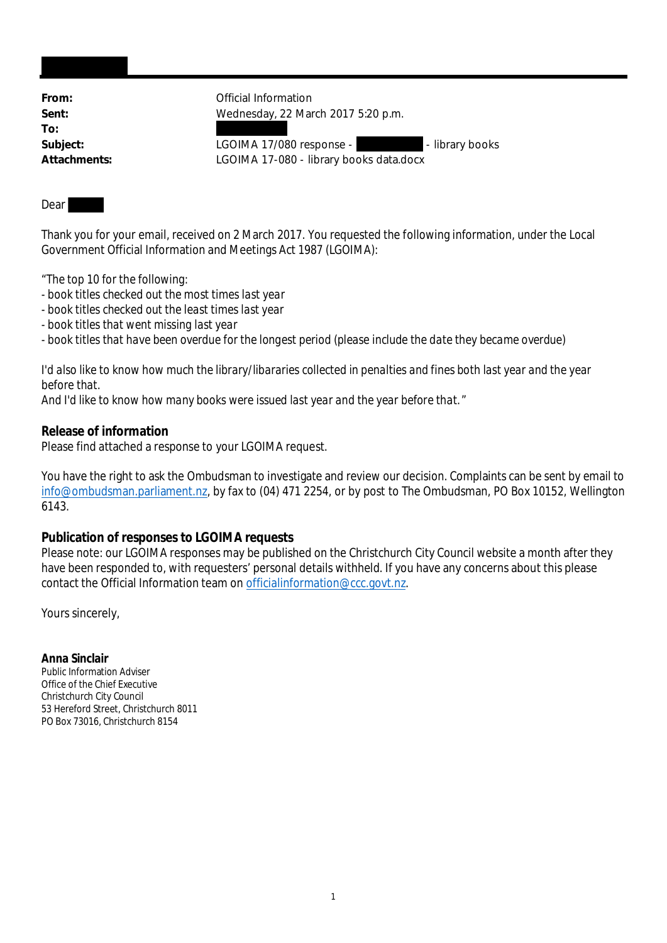**To:**

From: **From:** Official Information **Sent:** Wednesday, 22 March 2017 5:20 p.m.

Subject: LGOIMA 17/080 response - The library books **Attachments:** LGOIMA 17-080 - library books data.docx

## Dear

Thank you for your email, received on 2 March 2017. You requested the following information, under the Local Government Official Information and Meetings Act 1987 (LGOIMA):

- "*The top 10 for the following:*
- *book titles checked out the most times last year*
- *book titles checked out the least times last year*
- *book titles that went missing last year*
- *book titles that have been overdue for the longest period (please include the date they became overdue)*

*I'd also like to know how much the library/libararies collected in penalties and fines both last year and the year before that.*

*And I'd like to know how many books were issued last year and the year before that.*"

**Release of information**

Please find attached a response to your LGOIMA request.

You have the right to ask the Ombudsman to investigate and review our decision. Complaints can be sent by email to info@ombudsman.parliament.nz, by fax to (04) 471 2254, or by post to The Ombudsman, PO Box 10152, Wellington 6143.

## **Publication of responses to LGOIMA requests**

Please note: our LGOIMA responses may be published on the Christchurch City Council website a month after they have been responded to, with requesters' personal details withheld. If you have any concerns about this please contact the Official Information team on officialinformation@ccc.govt.nz.

Yours sincerely,

**Anna Sinclair** Public Information Adviser Office of the Chief Executive Christchurch City Council 53 Hereford Street, Christchurch 8011 PO Box 73016, Christchurch 8154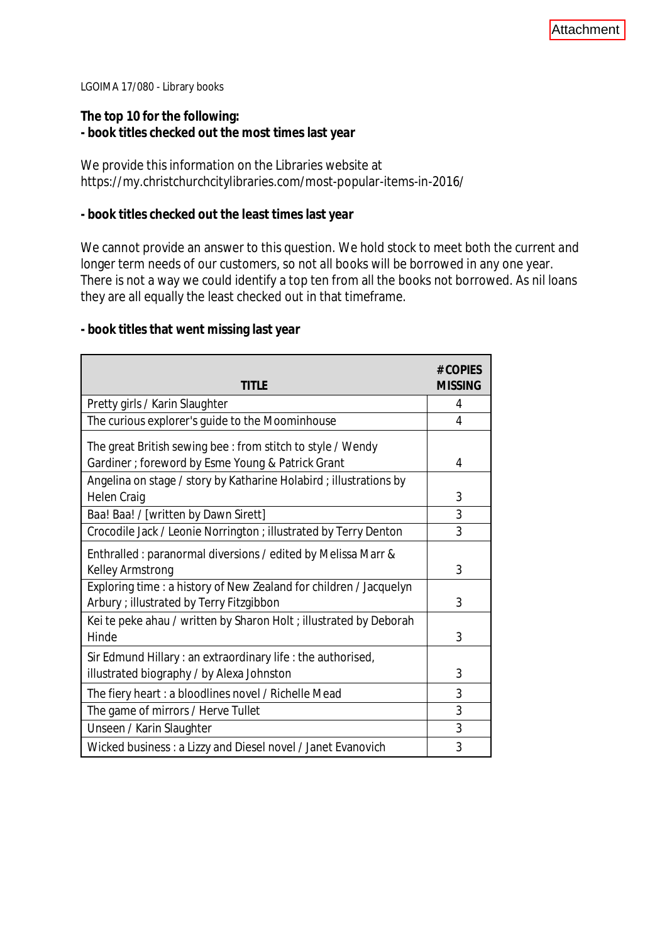LGOIMA 17/080 - Library books

**The top 10 for the following: - book titles checked out the most times last year**

We provide this information on the Libraries website at https://my.christchurchcitylibraries.com/most-popular-items-in-2016/

**- book titles checked out the least times last year**

We cannot provide an answer to this question. We hold stock to meet both the current and longer term needs of our customers, so not all books will be borrowed in any one year. There is not a way we could identify a top ten from all the books not borrowed. As nil loans they are all equally the least checked out in that timeframe.

**- book titles that went missing last year**

| <b>TITLE</b>                                                                                                   | # COPIES<br><b>MISSING</b> |
|----------------------------------------------------------------------------------------------------------------|----------------------------|
| Pretty girls / Karin Slaughter                                                                                 | 4                          |
| The curious explorer's guide to the Moominhouse                                                                | 4                          |
| The great British sewing bee: from stitch to style / Wendy                                                     |                            |
| Gardiner ; foreword by Esme Young & Patrick Grant                                                              | 4                          |
| Angelina on stage / story by Katharine Holabird ; illustrations by                                             |                            |
| <b>Helen Craig</b>                                                                                             | 3                          |
| Baa! Baa! / [written by Dawn Sirett]                                                                           | 3                          |
| Crocodile Jack / Leonie Norrington ; illustrated by Terry Denton                                               | 3                          |
| Enthralled: paranormal diversions / edited by Melissa Marr &<br>Kelley Armstrong                               | 3                          |
| Exploring time : a history of New Zealand for children / Jacquelyn<br>Arbury ; illustrated by Terry Fitzgibbon | 3                          |
| Kei te peke ahau / written by Sharon Holt ; illustrated by Deborah<br>Hinde                                    | 3                          |
| Sir Edmund Hillary: an extraordinary life: the authorised,<br>illustrated biography / by Alexa Johnston        | 3                          |
| The fiery heart: a bloodlines novel / Richelle Mead                                                            | 3                          |
| The game of mirrors / Herve Tullet                                                                             | 3                          |
| Unseen / Karin Slaughter                                                                                       | 3                          |
| Wicked business: a Lizzy and Diesel novel / Janet Evanovich                                                    | 3                          |